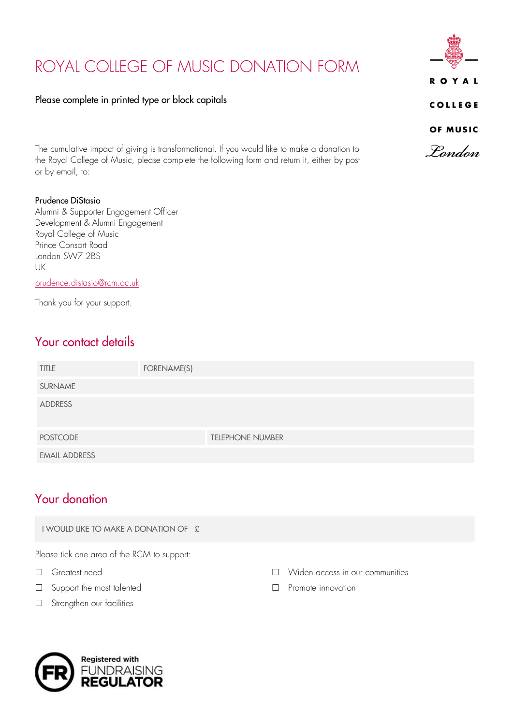# ROYAL COLLEGE OF MUSIC DONATION FORM

#### Please complete in printed type or block capitals

The cumulative impact of giving is transformational. If you would like to make a donation to the Royal College of Music, please complete the following form and return it, either by post or by email, to:

#### Prudence DiStasio

Alumni & Supporter Engagement Officer Development & Alumni Engagement Royal College of Music Prince Consort Road London SW7 2BS UK prudence.distasio@rcm.ac.uk

Thank you for your support.

## Your contact details

| <b>TITLE</b>         | FORENAME(S) |                         |
|----------------------|-------------|-------------------------|
| <b>SURNAME</b>       |             |                         |
| <b>ADDRESS</b>       |             |                         |
| <b>POSTCODE</b>      |             | <b>TELEPHONE NUMBER</b> |
| <b>EMAIL ADDRESS</b> |             |                         |

## Your donation

| I WOULD LIKE TO MAKE A DONATION OF $\epsilon$ |                                        |
|-----------------------------------------------|----------------------------------------|
| Please tick one area of the RCM to support:   |                                        |
| $\Box$ Greatest need                          | $\Box$ Widen access in our communities |

- □ Support the most talented
- Strengthen our facilities



 $\square$  Promote innovation